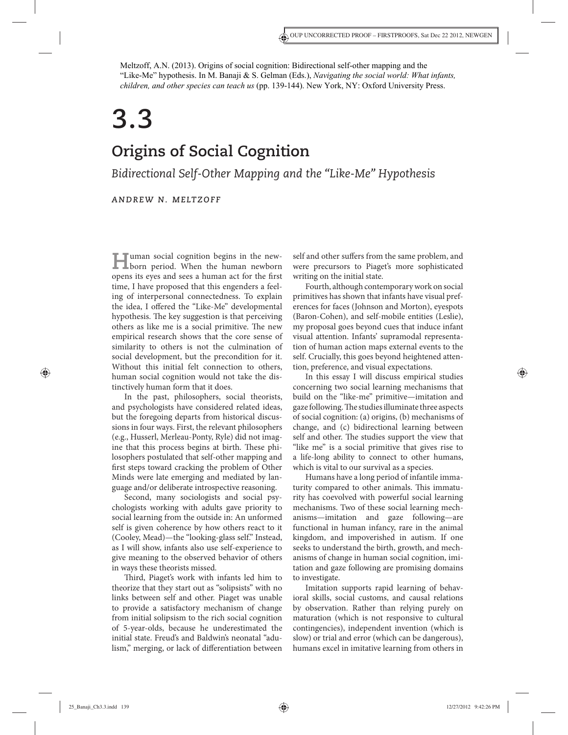Meltzoff, A.N. (2013). Origins of social cognition: Bidirectional self-other mapping and the "Like-Me" hypothesis. In M. Banaji & S. Gelman (Eds.), *Navigating the social world: What infants, children, and other species can teach us* (pp. 139-144). New York, NY: Oxford University Press.

# **3.3**<br>Origins of Social Cognition *<u>Diffusion of Social Cognition</u>* $\frac{1}{2}$

 *Bidirectional Self-Other Mapping and the "Like-Me" Hypothesis* 

*ANDREW N. MELTZOFF* 

**H**uman social cognition begins in the new-<br>born period. When the human newborn<br>opens its eyes and sees a human act for the first<br>time, I have proposed that this engenders a feelborn period. When the human newborn opens its eyes and sees a human act for the first time, I have proposed that this engenders a feeling of interpersonal connectedness. To explain the idea, I offered the "Like-Me" developmental hypothesis. The key suggestion is that perceiving others as like me is a social primitive. The new empirical research shows that the core sense of similarity to others is not the culmination of social development, but the precondition for it. Without this initial felt connection to others, human social cognition would not take the distinctively human form that it does.

 In the past, philosophers, social theorists, and psychologists have considered related ideas, but the foregoing departs from historical discussions in four ways. First, the relevant philosophers (e.g., Husserl, Merleau-Ponty, Ryle) did not imagine that this process begins at birth. These philosophers postulated that self-other mapping and first steps toward cracking the problem of Other Minds were late emerging and mediated by language and/or deliberate introspective reasoning.

 Second, many sociologists and social psychologists working with adults gave priority to social learning from the outside in: An unformed self is given coherence by how others react to it (Cooley, Mead)—the "looking-glass self." Instead, as I will show, infants also use self-experience to give meaning to the observed behavior of others in ways these theorists missed.

Third, Piaget's work with infants led him to theorize that they start out as "solipsists" with no links between self and other. Piaget was unable to provide a satisfactory mechanism of change from initial solipsism to the rich social cognition of 5-year-olds, because he underestimated the initial state. Freud's and Baldwin's neonatal "adulism," merging, or lack of differentiation between self and other suffers from the same problem, and were precursors to Piaget's more sophisticated writing on the initial state.

 Fourth, although contemporary work on social primitives has shown that infants have visual preferences for faces (Johnson and Morton), eyespots (Baron-Cohen), and self-mobile entities (Leslie), my proposal goes beyond cues that induce infant visual attention. Infants' supramodal representation of human action maps external events to the self. Crucially, this goes beyond heightened attention, preference, and visual expectations.

 In this essay I will discuss empirical studies concerning two social learning mechanisms that build on the "like-me" primitive—imitation and gaze following. The studies illuminate three aspects of social cognition: (a) origins, (b) mechanisms of change, and (c) bidirectional learning between self and other. The studies support the view that "like me" is a social primitive that gives rise to a life-long ability to connect to other humans, which is vital to our survival as a species.

 Humans have a long period of infantile immaturity compared to other animals. This immaturity has coevolved with powerful social learning mechanisms. Two of these social learning mechanisms—imitation and gaze following—are functional in human infancy, rare in the animal kingdom, and impoverished in autism. If one seeks to understand the birth, growth, and mechanisms of change in human social cognition, imitation and gaze following are promising domains to investigate.

 Imitation supports rapid learning of behavioral skills, social customs, and causal relations by observation. Rather than relying purely on maturation (which is not responsive to cultural contingencies), independent invention (which is slow) or trial and error (which can be dangerous), humans excel in imitative learning from others in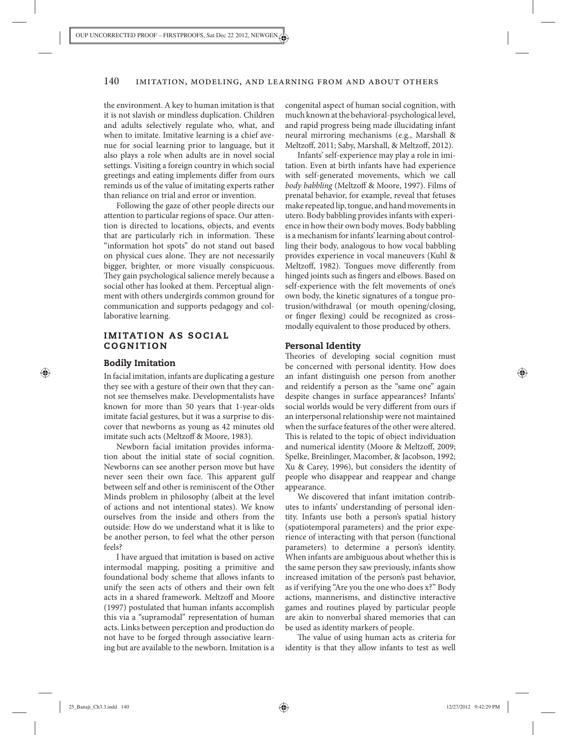the environment. A key to human imitation is that it is not slavish or mindless duplication. Children and adults selectively regulate who, what, and when to imitate. Imitative learning is a chief avenue for social learning prior to language, but it also plays a role when adults are in novel social settings. Visiting a foreign country in which social greetings and eating implements differ from ours reminds us of the value of imitating experts rather than reliance on trial and error or invention.

 Following the gaze of other people directs our attention to particular regions of space. Our attention is directed to locations, objects, and events that are particularly rich in information. These "information hot spots" do not stand out based on physical cues alone. They are not necessarily bigger, brighter, or more visually conspicuous. They gain psychological salience merely because a social other has looked at them. Perceptual alignment with others undergirds common ground for communication and supports pedagogy and collaborative learning.

# **IMITATION AS SOCIAL C O G N I T I O N**

## **Bodily Imitation**

 In facial imitation, infants are duplicating a gesture they see with a gesture of their own that they cannot see themselves make. Developmentalists have known for more than 50 years that 1-year-olds imitate facial gestures, but it was a surprise to discover that newborns as young as 42 minutes old imitate such acts (Meltzoff & Moore, 1983).

 Newborn facial imitation provides information about the initial state of social cognition. Newborns can see another person move but have never seen their own face. This apparent gulf between self and other is reminiscent of the Other Minds problem in philosophy (albeit at the level of actions and not intentional states). We know ourselves from the inside and others from the outside: How do we understand what it is like to be another person, to feel what the other person feels?

 I have argued that imitation is based on active intermodal mapping, positing a primitive and foundational body scheme that allows infants to unify the seen acts of others and their own felt acts in a shared framework. Meltzoff and Moore (1997) postulated that human infants accomplish this via a "supramodal" representation of human acts. Links between perception and production do not have to be forged through associative learning but are available to the newborn. Imitation is a

congenital aspect of human social cognition, with much known at the behavioral-psychological level, and rapid progress being made illucidating infant neural mirroring mechanisms (e.g., Marshall & Meltzoff, 2011; Saby, Marshall, & Meltzoff, 2012).

 Infants' self-experience may play a role in imitation. Even at birth infants have had experience with self-generated movements, which we call *body babbling* (Meltzoff & Moore, 1997). Films of prenatal behavior, for example, reveal that fetuses make repeated lip, tongue, and hand movements in utero. Body babbling provides infants with experience in how their own body moves. Body babbling is a mechanism for infants' learning about controlling their body, analogous to how vocal babbling provides experience in vocal maneuvers (Kuhl & Meltzoff, 1982). Tongues move differently from hinged joints such as fingers and elbows. Based on self-experience with the felt movements of one's own body, the kinetic signatures of a tongue protrusion/withdrawal (or mouth opening/closing, or finger flexing) could be recognized as crossmodally equivalent to those produced by others.

# **Personal Identity**

Theories of developing social cognition must be concerned with personal identity. How does an infant distinguish one person from another and reidentify a person as the "same one" again despite changes in surface appearances? Infants' social worlds would be very different from ours if an interpersonal relationship were not maintained when the surface features of the other were altered. This is related to the topic of object individuation and numerical identity (Moore & Meltzoff, 2009; Spelke, Breinlinger, Macomber, & Jacobson, 1992; Xu & Carey, 1996), but considers the identity of people who disappear and reappear and change appearance.

 We discovered that infant imitation contributes to infants' understanding of personal identity. Infants use both a person's spatial history (spatiotemporal parameters) and the prior experience of interacting with that person (functional parameters) to determine a person's identity. When infants are ambiguous about whether this is the same person they saw previously, infants show increased imitation of the person's past behavior, as if verifying "Are you the one who does x?" Body actions, mannerisms, and distinctive interactive games and routines played by particular people are akin to nonverbal shared memories that can be used as identity markers of people.

The value of using human acts as criteria for identity is that they allow infants to test as well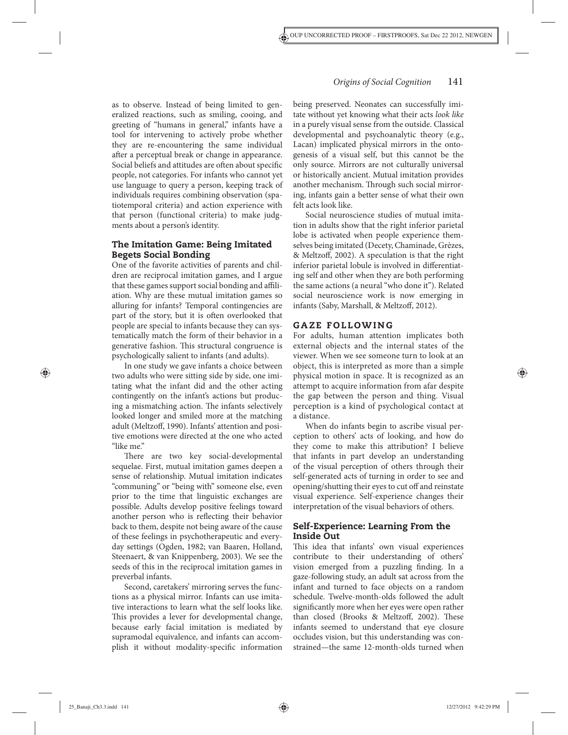as to observe. Instead of being limited to generalized reactions, such as smiling, cooing, and greeting of "humans in general," infants have a tool for intervening to actively probe whether they are re- encountering the same individual after a perceptual break or change in appearance. Social beliefs and attitudes are often about specific people, not categories. For infants who cannot yet use language to query a person, keeping track of individuals requires combining observation (spatiotemporal criteria) and action experience with that person (functional criteria) to make judgments about a person's identity.

# **The Imitation Game: Being Imitated Begets Social Bonding**

 One of the favorite activities of parents and children are reciprocal imitation games, and I argue that these games support social bonding and affiliation. Why are these mutual imitation games so alluring for infants? Temporal contingencies are part of the story, but it is often overlooked that people are special to infants because they can systematically match the form of their behavior in a generative fashion. This structural congruence is psychologically salient to infants (and adults).

 In one study we gave infants a choice between two adults who were sitting side by side, one imitating what the infant did and the other acting contingently on the infant's actions but producing a mismatching action. The infants selectively looked longer and smiled more at the matching adult (Meltzoff, 1990). Infants' attention and positive emotions were directed at the one who acted "like me."

There are two key social-developmental sequelae. First, mutual imitation games deepen a sense of relationship. Mutual imitation indicates "communing" or "being with" someone else, even prior to the time that linguistic exchanges are possible. Adults develop positive feelings toward another person who is reflecting their behavior back to them, despite not being aware of the cause of these feelings in psychotherapeutic and everyday settings (Ogden, 1982; van Baaren, Holland, Steenaert, & van Knippenberg, 2003). We see the seeds of this in the reciprocal imitation games in preverbal infants.

 Second, caretakers' mirroring serves the functions as a physical mirror. Infants can use imitative interactions to learn what the self looks like. This provides a lever for developmental change, because early facial imitation is mediated by supramodal equivalence, and infants can accomplish it without modality-specific information being preserved. Neonates can successfully imitate without yet knowing what their acts *look like* in a purely visual sense from the outside. Classical developmental and psychoanalytic theory (e.g., Lacan) implicated physical mirrors in the ontogenesis of a visual self, but this cannot be the only source. Mirrors are not culturally universal or historically ancient. Mutual imitation provides another mechanism. Through such social mirroring, infants gain a better sense of what their own felt acts look like.

 Social neuroscience studies of mutual imitation in adults show that the right inferior parietal lobe is activated when people experience themselves being imitated (Decety, Chaminade, Grèzes, & Meltzoff, 2002). A speculation is that the right inferior parietal lobule is involved in differentiating self and other when they are both performing the same actions (a neural "who done it"). Related social neuroscience work is now emerging in infants (Saby, Marshall, & Meltzoff, 2012).

# **G A Z E F O L L OW I N G**

 For adults, human attention implicates both external objects and the internal states of the viewer. When we see someone turn to look at an object, this is interpreted as more than a simple physical motion in space. It is recognized as an attempt to acquire information from afar despite the gap between the person and thing. Visual perception is a kind of psychological contact at a distance.

 When do infants begin to ascribe visual perception to others' acts of looking, and how do they come to make this attribution? I believe that infants in part develop an understanding of the visual perception of others through their self-generated acts of turning in order to see and opening/shutting their eyes to cut off and reinstate visual experience. Self-experience changes their interpretation of the visual behaviors of others.

# **Self-Experience: Learning From the Inside Out**

This idea that infants' own visual experiences contribute to their understanding of others' vision emerged from a puzzling finding. In a gaze-following study, an adult sat across from the infant and turned to face objects on a random schedule. Twelve-month-olds followed the adult significantly more when her eyes were open rather than closed (Brooks & Meltzoff, 2002). These infants seemed to understand that eye closure occludes vision, but this understanding was constrained—the same 12-month-olds turned when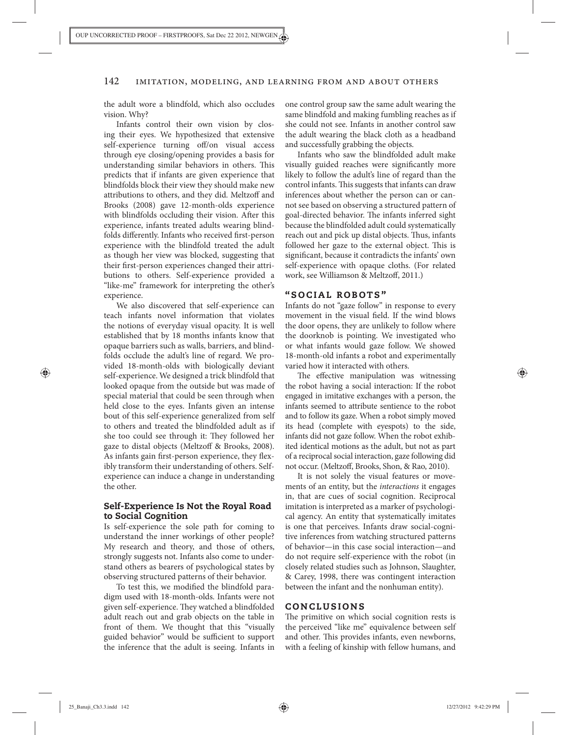the adult wore a blindfold, which also occludes vision. Why?

 Infants control their own vision by closing their eyes. We hypothesized that extensive self-experience turning off/on visual access through eye closing/opening provides a basis for understanding similar behaviors in others. This predicts that if infants are given experience that blindfolds block their view they should make new attributions to others, and they did. Meltzoff and Brooks (2008) gave 12-month-olds experience with blindfolds occluding their vision. After this experience, infants treated adults wearing blindfolds differently. Infants who received first-person experience with the blindfold treated the adult as though her view was blocked, suggesting that their first-person experiences changed their attributions to others. Self-experience provided a "like-me" framework for interpreting the other's experience.

 We also discovered that self-experience can teach infants novel information that violates the notions of everyday visual opacity. It is well established that by 18 months infants know that opaque barriers such as walls, barriers, and blindfolds occlude the adult's line of regard. We provided 18-month-olds with biologically deviant self-experience. We designed a trick blindfold that looked opaque from the outside but was made of special material that could be seen through when held close to the eyes. Infants given an intense bout of this self-experience generalized from self to others and treated the blindfolded adult as if she too could see through it: They followed her gaze to distal objects (Meltzoff & Brooks, 2008). As infants gain first-person experience, they flexibly transform their understanding of others. Selfexperience can induce a change in understanding the other.

# **Self-Experience Is Not the Royal Road to Social Cognition**

 Is self-experience the sole path for coming to understand the inner workings of other people? My research and theory, and those of others, strongly suggests not. Infants also come to understand others as bearers of psychological states by observing structured patterns of their behavior.

To test this, we modified the blindfold paradigm used with 18-month-olds. Infants were not given self-experience. They watched a blindfolded adult reach out and grab objects on the table in front of them. We thought that this "visually guided behavior" would be sufficient to support the inference that the adult is seeing. Infants in

one control group saw the same adult wearing the same blindfold and making fumbling reaches as if she could not see. Infants in another control saw the adult wearing the black cloth as a headband and successfully grabbing the objects.

 Infants who saw the blindfolded adult make visually guided reaches were significantly more likely to follow the adult's line of regard than the control infants. This suggests that infants can draw inferences about whether the person can or cannot see based on observing a structured pattern of goal-directed behavior. The infants inferred sight because the blindfolded adult could systematically reach out and pick up distal objects. Thus, infants followed her gaze to the external object. This is significant, because it contradicts the infants' own self-experience with opaque cloths. (For related work, see Williamson & Meltzoff, 2011.)

# **" S O C I A L R O B OT S "**

 Infants do not "gaze follow" in response to every movement in the visual field. If the wind blows the door opens, they are unlikely to follow where the doorknob is pointing. We investigated who or what infants would gaze follow. We showed 18-month-old infants a robot and experimentally varied how it interacted with others.

The effective manipulation was witnessing the robot having a social interaction: If the robot engaged in imitative exchanges with a person, the infants seemed to attribute sentience to the robot and to follow its gaze. When a robot simply moved its head (complete with eyespots) to the side, infants did not gaze follow. When the robot exhibited identical motions as the adult, but not as part of a reciprocal social interaction, gaze following did not occur. (Meltzoff, Brooks, Shon, & Rao, 2010).

 It is not solely the visual features or movements of an entity, but the *interactions* it engages in, that are cues of social cognition. Reciprocal imitation is interpreted as a marker of psychological agency. An entity that systematically imitates is one that perceives. Infants draw social-cognitive inferences from watching structured patterns of behavior—in this case social interaction—and do not require self-experience with the robot (in closely related studies such as Johnson, Slaughter, & Carey, 1998, there was contingent interaction between the infant and the nonhuman entity).

# **C O N C L U S I O N S**

The primitive on which social cognition rests is the perceived "like me" equivalence between self and other. This provides infants, even newborns, with a feeling of kinship with fellow humans, and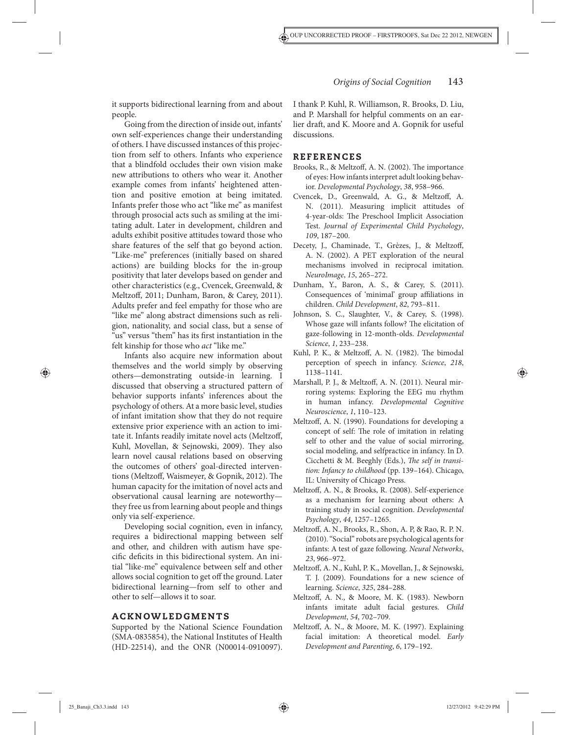it supports bidirectional learning from and about people.

 Going from the direction of inside out, infants' own self-experiences change their understanding of others. I have discussed instances of this projection from self to others. Infants who experience that a blindfold occludes their own vision make new attributions to others who wear it. Another example comes from infants' heightened attention and positive emotion at being imitated. Infants prefer those who act "like me" as manifest through prosocial acts such as smiling at the imitating adult. Later in development, children and adults exhibit positive attitudes toward those who share features of the self that go beyond action. "Like-me" preferences (initially based on shared actions) are building blocks for the in-group positivity that later develops based on gender and other characteristics (e.g., Cvencek, Greenwald, & Meltzoff, 2011; Dunham, Baron, & Carey, 2011). Adults prefer and feel empathy for those who are "like me" along abstract dimensions such as religion, nationality, and social class, but a sense of "us" versus "them" has its first instantiation in the felt kinship for those who *act* "like me."

 Infants also acquire new information about themselves and the world simply by observing others—demonstrating outside-in learning. I discussed that observing a structured pattern of behavior supports infants' inferences about the psychology of others. At a more basic level, studies of infant imitation show that they do not require extensive prior experience with an action to imitate it. Infants readily imitate novel acts (Meltzoff, Kuhl, Movellan, & Sejnowski, 2009). They also learn novel causal relations based on observing the outcomes of others' goal-directed interventions (Meltzoff, Waismeyer, & Gopnik, 2012). The human capacity for the imitation of novel acts and observational causal learning are noteworthy they free us from learning about people and things only via self-experience.

 Developing social cognition, even in infancy, requires a bidirectional mapping between self and other, and children with autism have specific deficits in this bidirectional system. An initial "like-me" equivalence between self and other allows social cognition to get off the ground. Later bidirectional learning—from self to other and other to self—allows it to soar.

# **AC K N OW L E D G M E N T S**

 Supported by the National Science Foundation (SMA-0835854), the National Institutes of Health (HD-22514), and the ONR (N00014-0910097). I thank P. Kuhl, R. Williamson, R. Brooks, D. Liu, and P. Marshall for helpful comments on an earlier draft, and K. Moore and A. Gopnik for useful discussions.

# **R E F E R E N C E S**

- Brooks, R., & Meltzoff, A. N. (2002). The importance of eyes: How infants interpret adult looking behavior. *Developmental Psychology*, 38, 958-966.
- Cvencek, D., Greenwald, A. G., & Meltzoff, A. N. (2011). Measuring implicit attitudes of 4-year-olds: The Preschool Implicit Association Test. *Journal of Experimental Child Psychology*, 109, 187-200.
- Decety, J., Chaminade, T., Grèzes, J., & Meltzoff, A. N. (2002). A PET exploration of the neural mechanisms involved in reciprocal imitation. *NeuroImage* , *15* , 265–272 .
- Dunham, Y., Baron, A. S., & Carey, S. (2011). Consequences of 'minimal' group affiliations in children. *Child Development*, 82, 793-811.
- Johnson, S. C., Slaughter, V., & Carey, S. (1998). Whose gaze will infants follow? The elicitation of gaze-following in 12-month-olds . *Developmental Science* , *1* , 233–238 .
- Kuhl, P. K., & Meltzoff, A. N. (1982). The bimodal perception of speech in infancy. Science, 218, 1138–1141 .
- Marshall, P. J., & Meltzoff, A. N. (2011). Neural mirroring systems: Exploring the EEG mu rhythm in human infancy . *Developmental Cognitive Neuroscience* , *1* , 110–123 .
- Meltzoff, A. N. (1990). Foundations for developing a concept of self: The role of imitation in relating self to other and the value of social mirroring, social modeling, and selfpractice in infancy. In D. Cicchetti & M. Beeghly (Eds.), *The self in transi*tion: Infancy to childhood (pp. 139-164). Chicago, IL: University of Chicago Press.
- Meltzoff, A. N., & Brooks, R. (2008). Self-experience as a mechanism for learning about others: A training study in social cognition . *Developmental Psychology* , *44* , 1257–1265 .
- Meltzoff, A. N., Brooks, R., Shon, A. P, & Rao, R. P. N. (2010). "Social" robots are psychological agents for infants: A test of gaze following. *Neural Networks*, *23* , 966–972 .
- Meltzoff, A. N., Kuhl, P. K., Movellan, J., & Sejnowski, T. J. (2009). Foundations for a new science of learning. *Science*, 325, 284-288.
- Meltzoff, A. N., & Moore, M. K. (1983). Newborn infants imitate adult facial gestures . *Child Development* , *54* , 702–709 .
- Meltzoff, A. N., & Moore, M. K. (1997). Explaining facial imitation: A theoretical model. *Early Development and Parenting* , *6* , 179–192 .